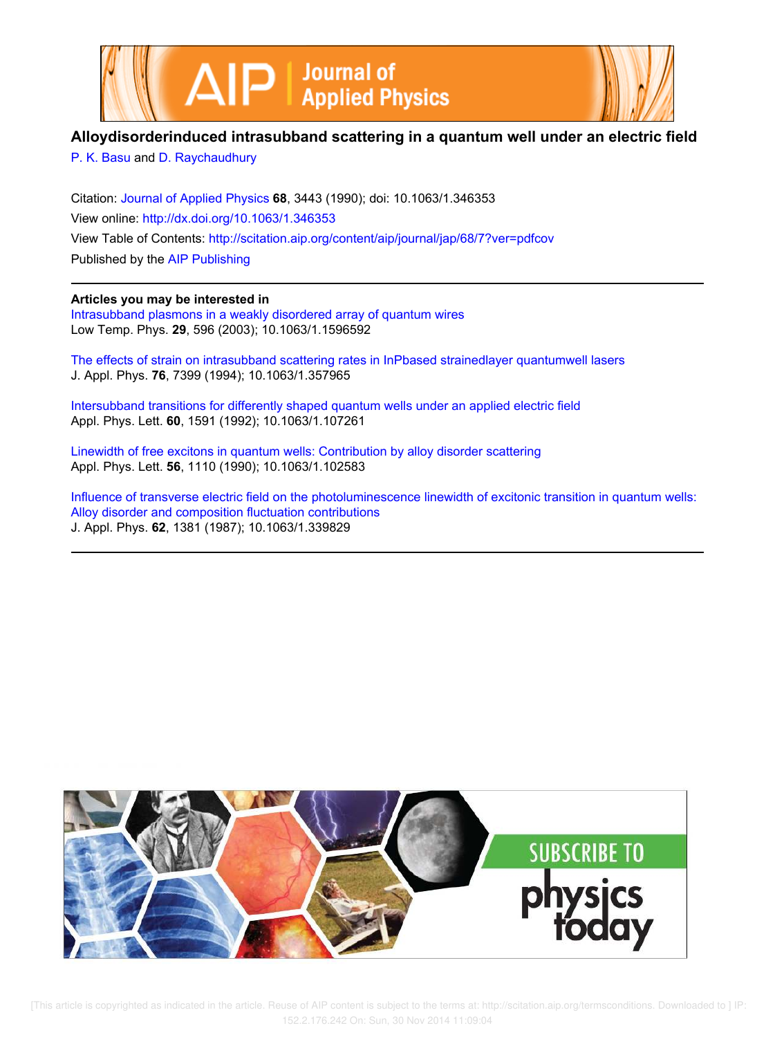



# **Alloydisorderinduced intrasubband scattering in a quantum well under an electric field**

P. K. Basu and D. Raychaudhury

Citation: Journal of Applied Physics **68**, 3443 (1990); doi: 10.1063/1.346353 View online: http://dx.doi.org/10.1063/1.346353 View Table of Contents: http://scitation.aip.org/content/aip/journal/jap/68/7?ver=pdfcov Published by the AIP Publishing

# **Articles you may be interested in**

Intrasubband plasmons in a weakly disordered array of quantum wires Low Temp. Phys. **29**, 596 (2003); 10.1063/1.1596592

The effects of strain on intrasubband scattering rates in InPbased strainedlayer quantumwell lasers J. Appl. Phys. **76**, 7399 (1994); 10.1063/1.357965

Intersubband transitions for differently shaped quantum wells under an applied electric field Appl. Phys. Lett. **60**, 1591 (1992); 10.1063/1.107261

Linewidth of free excitons in quantum wells: Contribution by alloy disorder scattering Appl. Phys. Lett. **56**, 1110 (1990); 10.1063/1.102583

Influence of transverse electric field on the photoluminescence linewidth of excitonic transition in quantum wells: Alloy disorder and composition fluctuation contributions J. Appl. Phys. **62**, 1381 (1987); 10.1063/1.339829



[This article is copyrighted as indicated in the article. Reuse of AIP content is subject to the terms at: http://scitation.aip.org/termsconditions. Downloaded to ] IP: 152.2.176.242 On: Sun, 30 Nov 2014 11:09:04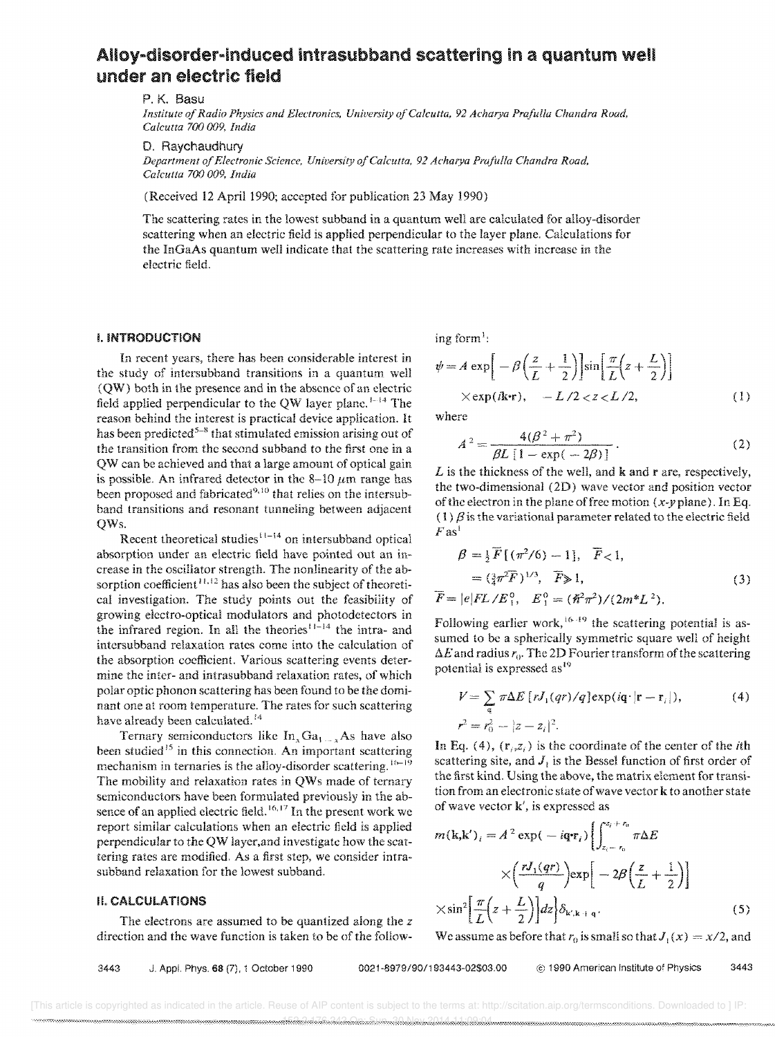# Alloy-disorder-induced intrasubband scattering in a quantum well under an electric field

P. K. Basu

*Institute of Radio Physics and ElecTronics, Uniuersity olCalcutta,* 92 *Acharya Pmfulla Chandra Road, Calcutta 700 009, India* 

#### D. Raychaudhury

*Department of Electronic Science, University of Calcutta,* 92 *Acharya Prajidla Chandra Road. Calcutta 700 009, India* 

(Received 12 April 1990; accepted for publication 23 May 1990)

The scattering rates in the lowest subband in a quantum well are calculated for alloy-disorder scattering when an electric field is applied perpendicular to the layer plane. Calculations for the InGaAs quantum well indicate that the scattering rate increases with increase in the electric field.

### I. INTRODUCTION

In recent years, there has been considerable interest in the study of intersubband transitions in a quantum well (Q W) both in the presence and in the absence of an electric field applied perpendicular to the QW layer plane. 1-14 The reason behind the interest is practical device application. It has been predicted<sup>5-8</sup> that stimulated emission arising out of the transition from the second subband to the first one in a QW can be achieved and that a large amount of optical gain is possible. An infrared detector in the 8-10  $\mu$ m range has been proposed and fabricated<sup>9,10</sup> that relies on the intersubband transitions and resonant tunneling between adjacent QWs.

Recent theoretical studies $11-14$  on intersubband optical absorption under an electric field have pointed out an increase in the oscillator strength. The nonlinearity of the absorption coefficient<sup> $11,12$ </sup> has also been the subject of theoretical investigation. The study points out the feasibility of growing electro-optical modulators and photodctectors in the infrared region. In all the theories<sup> $11-14$ </sup> the intra- and intcrsubband relaxation rates come into the calculation of the absorption coefficient. Various scattering events determine the inter- and intrasubband relaxation rates, of which polar optic phonon scattering has been found to be the dominant one at room temperature. The rates for such scattering have already been calculated.<sup>14</sup>

Ternary semiconductors like  $In_xGa_{1-x}As$  have also been studied<sup>15</sup> in this connection. An important scattering mechanism in ternaries is the alloy-disorder scattering.<sup>16-19</sup> The mobility and relaxation rates in QWs made of ternary semiconductors have been formulated previously in the absence of an applied electric field.<sup>16,17</sup> In the present work we report similar calculations when an electric field is applied perpendicular to the QW layer, and investigate how the scattering rates are modified. As a first step, we consider intrasubband relaxation for the lowest subband.

# It CALCULATIONS

The electrons are assumed to be quantized along the *z*  direction and the wave function is taken to be of the following form<sup>1</sup>:

$$
\psi = A \exp\left[-\beta \left(\frac{z}{L} + \frac{1}{2}\right)\right] \sin\left[\frac{\pi}{L}\left(z + \frac{L}{2}\right)\right]
$$
  
× $\exp(i\mathbf{k}\cdot\mathbf{r})$ ,  $-L/2 < z < L/2$ , (1)

where

$$
A^{2} = \frac{4(\beta^{2} + \pi^{2})}{\beta L [1 - \exp(-2\beta)]}.
$$
 (2)

*L* is the thickness of the well, and **k** and **r** are, respectively, the two-dimensional (2D) wave vector and position vector of the electron in the plane of free motion  $(x-y)$  plane). In Eq. (1)  $\beta$  is the variational parameter related to the electric field  $F$  as<sup>1</sup>

$$
\beta = \frac{1}{2} \overline{F} [(\pi^2/6) - 1], \overline{F} < 1,
$$
  
=  $(\frac{3}{4} \pi^2 \overline{F})^{1/3}, \overline{F} \ge 1,$   

$$
\overline{F} = |e| FL / E_1^0, E_1^0 = (\overline{R}^2 \pi^2) / (2m^* L^2).
$$
 (3)

Following earlier work,  $16 \cdot 19$  the scattering potential is assumed to be a spherically symmetric square well of height  $\Delta E$  and radius  $r_0$ . The 2D Fourier transform of the scattering potential is expressed as <sup>19</sup>

$$
V = \sum_{\mathbf{q}} \pi \Delta E \left[ r J_1(qr) / q \right] \exp(i\mathbf{q} \cdot |\mathbf{r} - \mathbf{r}_i|), \tag{4}
$$

$$
r^2 = r_0^2 - |z - z_i|^2.
$$

In Eq. (4),  $(r_i, z_i)$  is the coordinate of the center of the *i*th scattering site, and J, is the Bessel function of first order of the first kind. Using the above, the matrix element for transition from an electronic state of wave vector k to another state of wave vector k', is expressed as

$$
m(\mathbf{k}, \mathbf{k}')_i = A^2 \exp(-i\mathbf{q} \cdot \mathbf{r}_i) \left\{ \int_{z_i - r_0}^{z_i + r_0} \pi \Delta E \right\}
$$

$$
\times \left( \frac{rJ_1(qr)}{q} \right) \exp\left[ -2\beta \left( \frac{z}{L} + \frac{1}{2} \right) \right]
$$

$$
\times \sin^2 \left[ \frac{\pi}{L} \left( z + \frac{L}{2} \right) \right] dz \right\} \delta_{\mathbf{k}', \mathbf{k} + \mathbf{q}}.
$$
(5)

We assume as before that  $r_0$  is small so that  $J_1(x) = x/2$ , and

3443 J. AppL Phys. 68 (7), 1 October 1990 *0021-8979/90/193443-02\$03,00* @ 1990 American Institute of Physics 3443